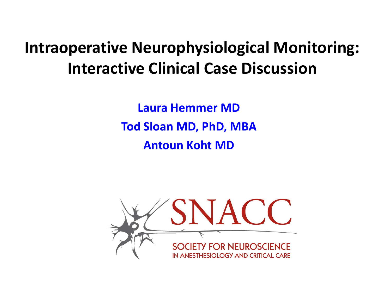# **Intraoperative Neurophysiological Monitoring: Interactive Clinical Case Discussion**

**Laura Hemmer MD Tod Sloan MD, PhD, MBA Antoun Koht MD**

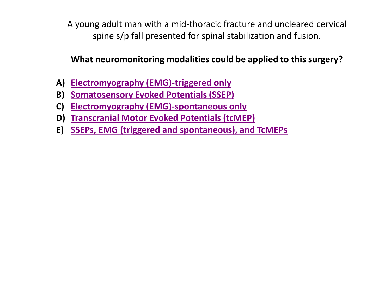<span id="page-1-0"></span>A young adult man with a mid-thoracic fracture and uncleared cervical spine s/p fall presented for spinal stabilization and fusion.

## **What neuromonitoring modalities could be applied to this surgery?**

- **A) [Electromyography \(EMG\)-triggered only](#page-3-0)**
- **B) [Somatosensory Evoked Potentials \(SSEP\)](#page-4-0)**
- **C) [Electromyography \(EMG\)-spontaneous only](#page-5-0)**
- **D) [Transcranial Motor Evoked Potentials \(tcMEP\)](#page-6-0)**
- **E) [SSEPs, EMG \(triggered and spontaneous\), and TcMEPs](#page-2-0)**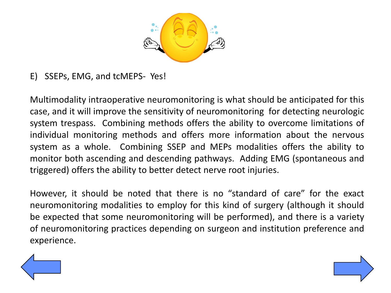

<span id="page-2-0"></span>E) SSEPs, EMG, and tcMEPS- Yes!

Multimodality intraoperative neuromonitoring is what should be anticipated for this case, and it will improve the sensitivity of neuromonitoring for detecting neurologic system trespass. Combining methods offers the ability to overcome limitations of individual monitoring methods and offers more information about the nervous system as a whole. Combining SSEP and MEPs modalities offers the ability to monitor both ascending and descending pathways. Adding EMG (spontaneous and triggered) offers the ability to better detect nerve root injuries.

However, it should be noted that there is no "standard of care" for the exact neuromonitoring modalities to employ for this kind of surgery (although it should be expected that some neuromonitoring will be performed), and there is a variety of neuromonitoring practices depending on surgeon and institution preference and experience.

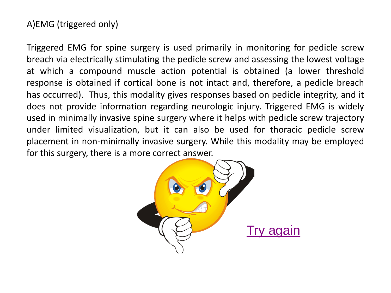## <span id="page-3-0"></span>A)EMG (triggered only)

Triggered EMG for spine surgery is used primarily in monitoring for pedicle screw breach via electrically stimulating the pedicle screw and assessing the lowest voltage at which a compound muscle action potential is obtained (a lower threshold response is obtained if cortical bone is not intact and, therefore, a pedicle breach has occurred). Thus, this modality gives responses based on pedicle integrity, and it does not provide information regarding neurologic injury. Triggered EMG is widely used in minimally invasive spine surgery where it helps with pedicle screw trajectory under limited visualization, but it can also be used for thoracic pedicle screw placement in non-minimally invasive surgery. While this modality may be employed for this surgery, there is a more correct answer.

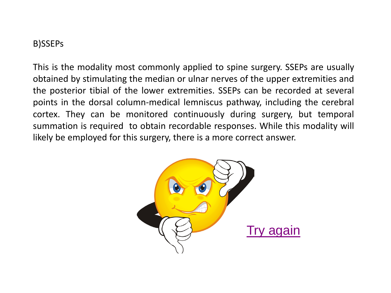### <span id="page-4-0"></span>B)SSEPs

This is the modality most commonly applied to spine surgery. SSEPs are usually obtained by stimulating the median or ulnar nerves of the upper extremities and the posterior tibial of the lower extremities. SSEPs can be recorded at several points in the dorsal column-medical lemniscus pathway, including the cerebral cortex. They can be monitored continuously during surgery, but temporal summation is required to obtain recordable responses. While this modality will likely be employed for this surgery, there is a more correct answer.

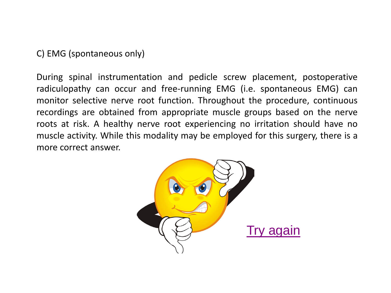<span id="page-5-0"></span>C) EMG (spontaneous only)

During spinal instrumentation and pedicle screw placement, postoperative radiculopathy can occur and free-running EMG (i.e. spontaneous EMG) can monitor selective nerve root function. Throughout the procedure, continuous recordings are obtained from appropriate muscle groups based on the nerve roots at risk. A healthy nerve root experiencing no irritation should have no muscle activity. While this modality may be employed for this surgery, there is a more correct answer.

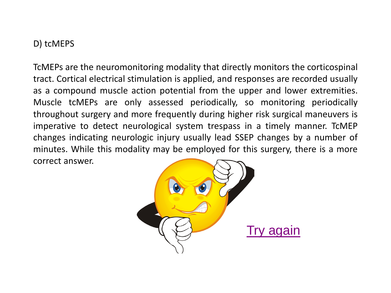### <span id="page-6-0"></span>D) tcMEPS

TcMEPs are the neuromonitoring modality that directly monitors the corticospinal tract. Cortical electrical stimulation is applied, and responses are recorded usually as a compound muscle action potential from the upper and lower extremities. Muscle tcMEPs are only assessed periodically, so monitoring periodically throughout surgery and more frequently during higher risk surgical maneuvers is imperative to detect neurological system trespass in a timely manner. TcMEP changes indicating neurologic injury usually lead SSEP changes by a number of minutes. While this modality may be employed for this surgery, there is a more correct answer.

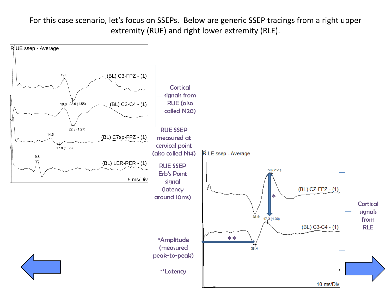For this case scenario, let's focus on SSEPs. Below are generic SSEP tracings from a right upper extremity (RUE) and right lower extremity (RLE).

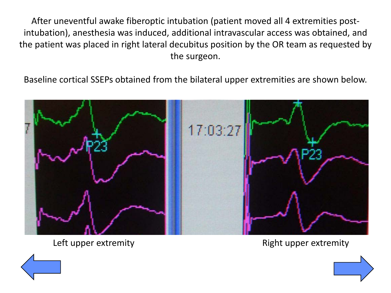After uneventful awake fiberoptic intubation (patient moved all 4 extremities postintubation), anesthesia was induced, additional intravascular access was obtained, and the patient was placed in right lateral decubitus position by the OR team as requested by the surgeon.

Baseline cortical SSEPs obtained from the bilateral upper extremities are shown below.



Left upper extremity **EXACTE EXACTE EXACTE EXACTE EXACTE EXACTE EXACTE EXACTE EXACTE EXACTE EXACTE EXACTE EXACTE** 



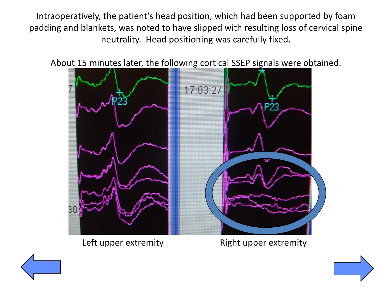Intraoperatively, the patient's head position, which had been supported by foam padding and blankets, was noted to have slipped with resulting loss of cervical spine neutrality. Head positioning was carefully fixed.

About 15 minutes later, the following cortical SSEP signals were obtained.



Left upper extremity The Right upper extremity



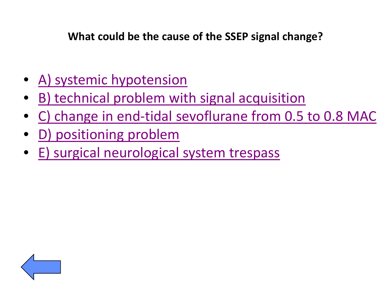<span id="page-10-0"></span>**What could be the cause of the SSEP signal change?**

- [A\) systemic hypotension](#page-12-0)
- [B\) technical problem with signal acquisition](#page-13-0)
- [C\) change in end-tidal sevoflurane from 0.5 to 0.8 MAC](#page-14-0)
- [D\) positioning problem](#page-11-0)
- [E\) surgical neurological system trespass](#page-15-0)

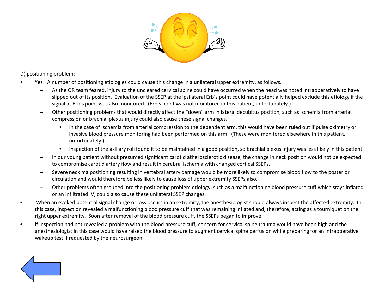

<span id="page-11-0"></span>D) positioning problem:

- Yes! A number of positioning etiologies could cause this change in a unilateral upper extremity, as follows.
	- As the OR team feared, injury to the uncleared cervical spine could have occurred when the head was noted intraoperatively to have slipped out of its position. Evaluation of the SSEP at the ipsilateral Erb's point could have potentially helped exclude this etiology if the signal at Erb's point was also monitored. (Erb's point was not monitored in this patient, unfortunately.)
	- Other positioning problems that would directly affect the "down" arm in lateral decubitus position, such as ischemia from arterial compression or brachial plexus injury could also cause these signal changes.
		- In the case of ischemia from arterial compression to the dependent arm, this would have been ruled out if pulse oximetry or invasive blood pressure monitoring had been performed on this arm. (These were monitored elsewhere in this patient, unfortunately.)
		- Inspection of the axillary roll found it to be maintained in a good position, so brachial plexus injury was less likely in this patient.
	- In our young patient without presumed significant carotid atherosclerotic disease, the change in neck position would not be expected to compromise carotid artery flow and result in cerebral ischemia with changed cortical SSEPs.
	- Severe neck malpositioning resulting in vertebral artery damage would be more likely to compromise blood flow to the posterior circulation and would therefore be less likely to cause loss of upper extremity SSEPs also.
	- Other problems often grouped into the positioning problem etiology, such as a malfunctioning blood pressure cuff which stays inflated or an infiltrated IV, could also cause these unilateral SSEP changes.
- When an evoked potential signal change or loss occurs in an extremity, the anesthesiologist should always inspect the affected extremity. In this case, inspection revealed a malfunctioning blood pressure cuff that was remaining inflated and, therefore, acting as a tourniquet on the right upper extremity. Soon after removal of the blood pressure cuff, the SSEPs began to improve.
- If inspection had not revealed a problem with the blood pressure cuff, concern for cervical spine trauma would have been high and the anesthesiologist in this case would have raised the blood pressure to augment cervical spine perfusion while preparing for an intraoperative wakeup test if requested by the neurosurgeon.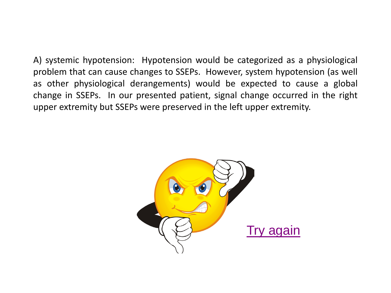<span id="page-12-0"></span>A) systemic hypotension: Hypotension would be categorized as a physiological problem that can cause changes to SSEPs. However, system hypotension (as well as other physiological derangements) would be expected to cause a global change in SSEPs. In our presented patient, signal change occurred in the right upper extremity but SSEPs were preserved in the left upper extremity.

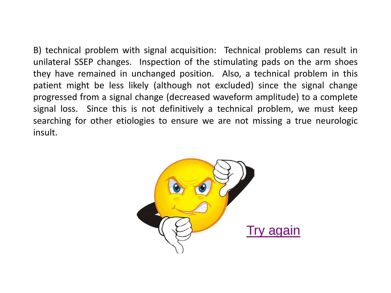<span id="page-13-0"></span>B) technical problem with signal acquisition: Technical problems can result in unilateral SSEP changes. Inspection of the stimulating pads on the arm shoes they have remained in unchanged position. Also, a technical problem in this patient might be less likely (although not excluded) since the signal change progressed from a signal change (decreased waveform amplitude) to a complete signal loss. Since this is not definitively a technical problem, we must keep searching for other etiologies to ensure we are not missing a true neurologic insult.

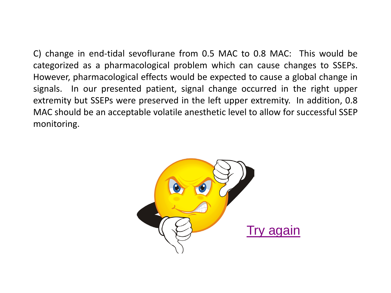<span id="page-14-0"></span>C) change in end-tidal sevoflurane from 0.5 MAC to 0.8 MAC: This would be categorized as a pharmacological problem which can cause changes to SSEPs. However, pharmacological effects would be expected to cause a global change in signals. In our presented patient, signal change occurred in the right upper extremity but SSEPs were preserved in the left upper extremity. In addition, 0.8 MAC should be an acceptable volatile anesthetic level to allow for successful SSEP monitoring.